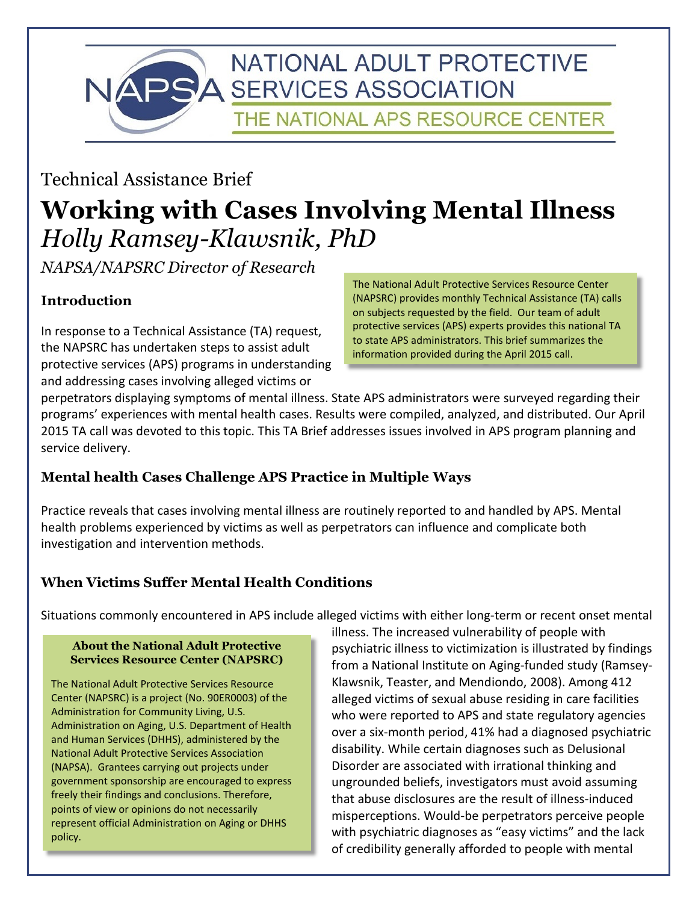

# Technical Assistance Brief

# **Working with Cases Involving Mental Illness**  *Holly Ramsey-Klawsnik, PhD*

*NAPSA/NAPSRC Director of Research*

# **Introduction**

In response to a Technical Assistance (TA) request, the NAPSRC has undertaken steps to assist adult protective services (APS) programs in understanding and addressing cases involving alleged victims or

The National Adult Protective Services Resource Center (NAPSRC) provides monthly Technical Assistance (TA) calls on subjects requested by the field. Our team of adult protective services (APS) experts provides this national TA to state APS administrators. This brief summarizes the information provided during the April 2015 call.

perpetrators displaying symptoms of mental illness. State APS administrators were surveyed regarding their programs' experiences with mental health cases. Results were compiled, analyzed, and distributed. Our April 2015 TA call was devoted to this topic. This TA Brief addresses issues involved in APS program planning and service delivery.

# **Mental health Cases Challenge APS Practice in Multiple Ways**

Practice reveals that cases involving mental illness are routinely reported to and handled by APS. Mental health problems experienced by victims as well as perpetrators can influence and complicate both investigation and intervention methods.

# **When Victims Suffer Mental Health Conditions**

Situations commonly encountered in APS include alleged victims with either long-term or recent onset mental

#### **About the National Adult Protective Services Resource Center (NAPSRC)**

The National Adult Protective Services Resource Center (NAPSRC) is a project (No. 90ER0003) of the Administration for Community Living, U.S. Administration on Aging, U.S. Department of Health and Human Services (DHHS), administered by the National Adult Protective Services Association (NAPSA). Grantees carrying out projects under government sponsorship are encouraged to express freely their findings and conclusions. Therefore, points of view or opinions do not necessarily represent official Administration on Aging or DHHS policy.

illness. The increased vulnerability of people with psychiatric illness to victimization is illustrated by findings from a National Institute on Aging-funded study (Ramsey-Klawsnik, Teaster, and Mendiondo, 2008). Among 412 alleged victims of sexual abuse residing in care facilities who were reported to APS and state regulatory agencies over a six-month period, 41% had a diagnosed psychiatric disability. While certain diagnoses such as Delusional Disorder are associated with irrational thinking and ungrounded beliefs, investigators must avoid assuming that abuse disclosures are the result of illness-induced misperceptions. Would-be perpetrators perceive people with psychiatric diagnoses as "easy victims" and the lack of credibility generally afforded to people with mental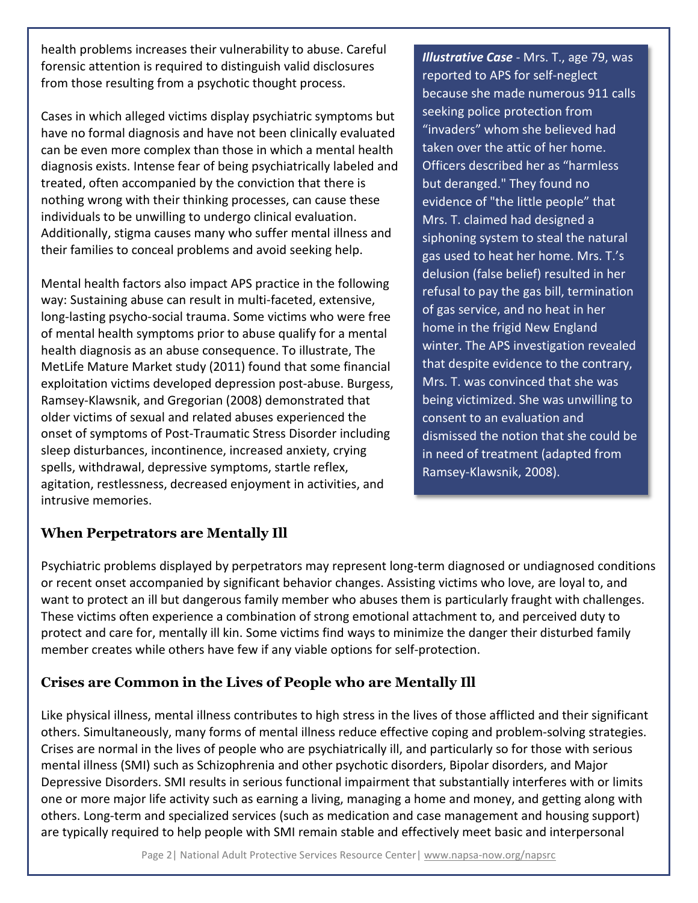health problems increases their vulnerability to abuse. Careful forensic attention is required to distinguish valid disclosures from those resulting from a psychotic thought process.

Cases in which alleged victims display psychiatric symptoms but have no formal diagnosis and have not been clinically evaluated can be even more complex than those in which a mental health diagnosis exists. Intense fear of being psychiatrically labeled and treated, often accompanied by the conviction that there is nothing wrong with their thinking processes, can cause these individuals to be unwilling to undergo clinical evaluation. Additionally, stigma causes many who suffer mental illness and their families to conceal problems and avoid seeking help.

Mental health factors also impact APS practice in the following way: Sustaining abuse can result in multi-faceted, extensive, long-lasting psycho-social trauma. Some victims who were free of mental health symptoms prior to abuse qualify for a mental health diagnosis as an abuse consequence. To illustrate, The MetLife Mature Market study (2011) found that some financial exploitation victims developed depression post-abuse. Burgess, Ramsey-Klawsnik, and Gregorian (2008) demonstrated that older victims of sexual and related abuses experienced the onset of symptoms of Post-Traumatic Stress Disorder including sleep disturbances, incontinence, increased anxiety, crying spells, withdrawal, depressive symptoms, startle reflex, agitation, restlessness, decreased enjoyment in activities, and intrusive memories.

*Illustrative Case* - Mrs. T., age 79, was reported to APS for self-neglect because she made numerous 911 calls seeking police protection from "invaders" whom she believed had taken over the attic of her home. Officers described her as "harmless but deranged." They found no evidence of "the little people" that Mrs. T. claimed had designed a siphoning system to steal the natural gas used to heat her home. Mrs. T.'s delusion (false belief) resulted in her refusal to pay the gas bill, termination of gas service, and no heat in her home in the frigid New England winter. The APS investigation revealed that despite evidence to the contrary, Mrs. T. was convinced that she was being victimized. She was unwilling to consent to an evaluation and dismissed the notion that she could be in need of treatment (adapted from Ramsey-Klawsnik, 2008).

# **When Perpetrators are Mentally Ill**

Psychiatric problems displayed by perpetrators may represent long-term diagnosed or undiagnosed conditions or recent onset accompanied by significant behavior changes. Assisting victims who love, are loyal to, and want to protect an ill but dangerous family member who abuses them is particularly fraught with challenges. These victims often experience a combination of strong emotional attachment to, and perceived duty to protect and care for, mentally ill kin. Some victims find ways to minimize the danger their disturbed family member creates while others have few if any viable options for self-protection.

# **Crises are Common in the Lives of People who are Mentally Ill**

Like physical illness, mental illness contributes to high stress in the lives of those afflicted and their significant others. Simultaneously, many forms of mental illness reduce effective coping and problem-solving strategies. Crises are normal in the lives of people who are psychiatrically ill, and particularly so for those with serious mental illness (SMI) such as Schizophrenia and other psychotic disorders, Bipolar disorders, and Major Depressive Disorders. SMI results in serious functional impairment that substantially interferes with or limits one or more major life activity such as earning a living, managing a home and money, and getting along with others. Long-term and specialized services (such as medication and case management and housing support) are typically required to help people with SMI remain stable and effectively meet basic and interpersonal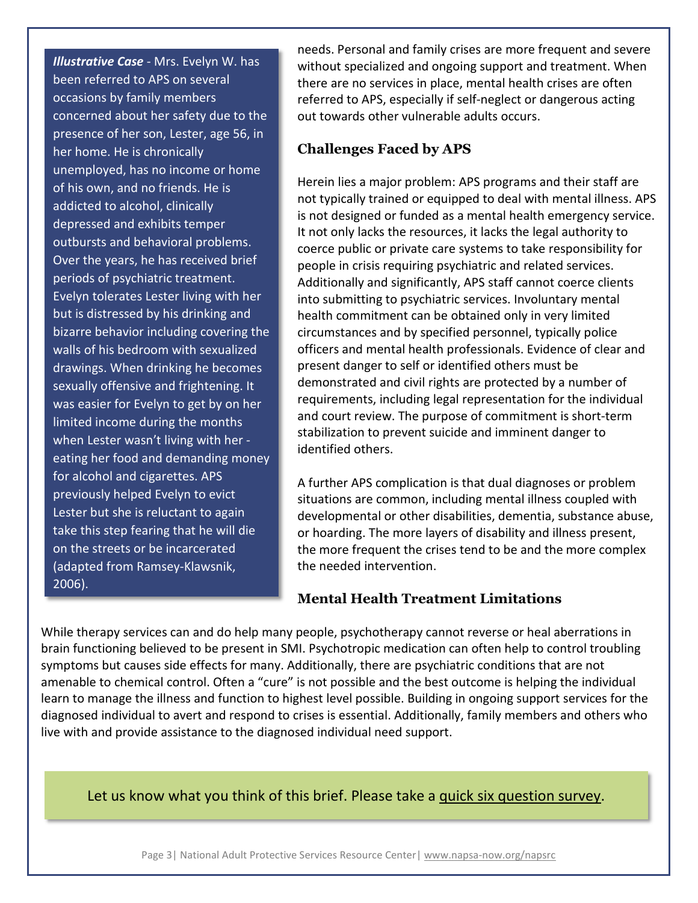*Illustrative Case* - Mrs. Evelyn W. has been referred to APS on several occasions by family members concerned about her safety due to the presence of her son, Lester, age 56, in her home. He is chronically unemployed, has no income or home of his own, and no friends. He is addicted to alcohol, clinically depressed and exhibits temper outbursts and behavioral problems. Over the years, he has received brief periods of psychiatric treatment. Evelyn tolerates Lester living with her but is distressed by his drinking and bizarre behavior including covering the walls of his bedroom with sexualized drawings. When drinking he becomes sexually offensive and frightening. It was easier for Evelyn to get by on her limited income during the months when Lester wasn't living with her eating her food and demanding money for alcohol and cigarettes. APS previously helped Evelyn to evict Lester but she is reluctant to again take this step fearing that he will die on the streets or be incarcerated (adapted from Ramsey-Klawsnik, 2006).

needs. Personal and family crises are more frequent and severe without specialized and ongoing support and treatment. When there are no services in place, mental health crises are often referred to APS, especially if self-neglect or dangerous acting out towards other vulnerable adults occurs.

#### **Challenges Faced by APS**

Herein lies a major problem: APS programs and their staff are not typically trained or equipped to deal with mental illness. APS is not designed or funded as a mental health emergency service. It not only lacks the resources, it lacks the legal authority to coerce public or private care systems to take responsibility for people in crisis requiring psychiatric and related services. Additionally and significantly, APS staff cannot coerce clients into submitting to psychiatric services. Involuntary mental health commitment can be obtained only in very limited circumstances and by specified personnel, typically police officers and mental health professionals. Evidence of clear and present danger to self or identified others must be demonstrated and civil rights are protected by a number of requirements, including legal representation for the individual and court review. The purpose of commitment is short-term stabilization to prevent suicide and imminent danger to identified others.

A further APS complication is that dual diagnoses or problem situations are common, including mental illness coupled with developmental or other disabilities, dementia, substance abuse, or hoarding. The more layers of disability and illness present, the more frequent the crises tend to be and the more complex the needed intervention.

#### **Mental Health Treatment Limitations**

While therapy services can and do help many people, psychotherapy cannot reverse or heal aberrations in brain functioning believed to be present in SMI. Psychotropic medication can often help to control troubling symptoms but causes side effects for many. Additionally, there are psychiatric conditions that are not amenable to chemical control. Often a "cure" is not possible and the best outcome is helping the individual learn to manage the illness and function to highest level possible. Building in ongoing support services for the diagnosed individual to avert and respond to crises is essential. Additionally, family members and others who live with and provide assistance to the diagnosed individual need support.

#### Let us know what you think of this brief. Please take a [quick six question survey.](https://www.surveymonkey.com/s/tabriefeval)

Page 3| National Adult Protective Services Resource Center| [www.napsa-now.org/napsrc](http://www.napsa-now.org/resource-center/main/)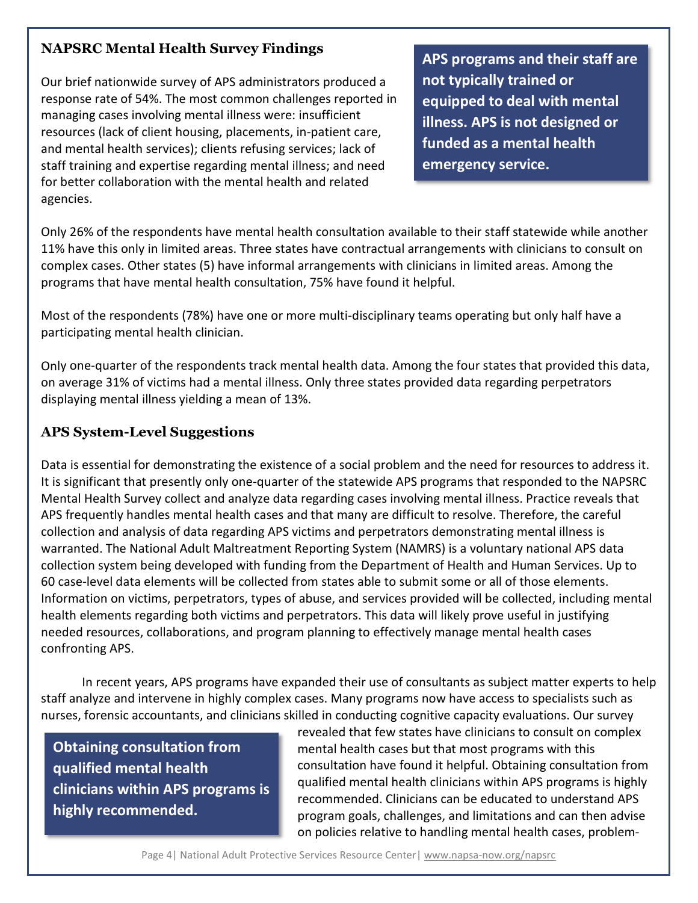#### **NAPSRC Mental Health Survey Findings**

Our brief nationwide survey of APS administrators produced a response rate of 54%. The most common challenges reported in managing cases involving mental illness were: insufficient resources (lack of client housing, placements, in-patient care, and mental health services); clients refusing services; lack of staff training and expertise regarding mental illness; and need for better collaboration with the mental health and related agencies.

**APS programs and their staff are not typically trained or equipped to deal with mental illness. APS is not designed or funded as a mental health emergency service.**

Only 26% of the respondents have mental health consultation available to their staff statewide while another 11% have this only in limited areas. Three states have contractual arrangements with clinicians to consult on complex cases. Other states (5) have informal arrangements with clinicians in limited areas. Among the programs that have mental health consultation, 75% have found it helpful.

Most of the respondents (78%) have one or more multi-disciplinary teams operating but only half have a participating mental health clinician.

Only one-quarter of the respondents track mental health data. Among the four states that provided this data, on average 31% of victims had a mental illness. Only three states provided data regarding perpetrators displaying mental illness yielding a mean of 13%.

#### **APS System-Level Suggestions**

Data is essential for demonstrating the existence of a social problem and the need for resources to address it. It is significant that presently only one-quarter of the statewide APS programs that responded to the NAPSRC Mental Health Survey collect and analyze data regarding cases involving mental illness. Practice reveals that APS frequently handles mental health cases and that many are difficult to resolve. Therefore, the careful collection and analysis of data regarding APS victims and perpetrators demonstrating mental illness is warranted. The National Adult Maltreatment Reporting System (NAMRS) is a voluntary national APS data collection system being developed with funding from the Department of Health and Human Services. Up to 60 case-level data elements will be collected from states able to submit some or all of those elements. Information on victims, perpetrators, types of abuse, and services provided will be collected, including mental health elements regarding both victims and perpetrators. This data will likely prove useful in justifying needed resources, collaborations, and program planning to effectively manage mental health cases confronting APS.

In recent years, APS programs have expanded their use of consultants as subject matter experts to help staff analyze and intervene in highly complex cases. Many programs now have access to specialists such as nurses, forensic accountants, and clinicians skilled in conducting cognitive capacity evaluations. Our survey

**Obtaining consultation from qualified mental health clinicians within APS programs is highly recommended.**

revealed that few states have clinicians to consult on complex mental health cases but that most programs with this consultation have found it helpful. Obtaining consultation from qualified mental health clinicians within APS programs is highly recommended. Clinicians can be educated to understand APS program goals, challenges, and limitations and can then advise on policies relative to handling mental health cases, problem-

Page 4| National Adult Protective Services Resource Center| [www.napsa-now.org/napsrc](http://www.napsa-now.org/resource-center/main/)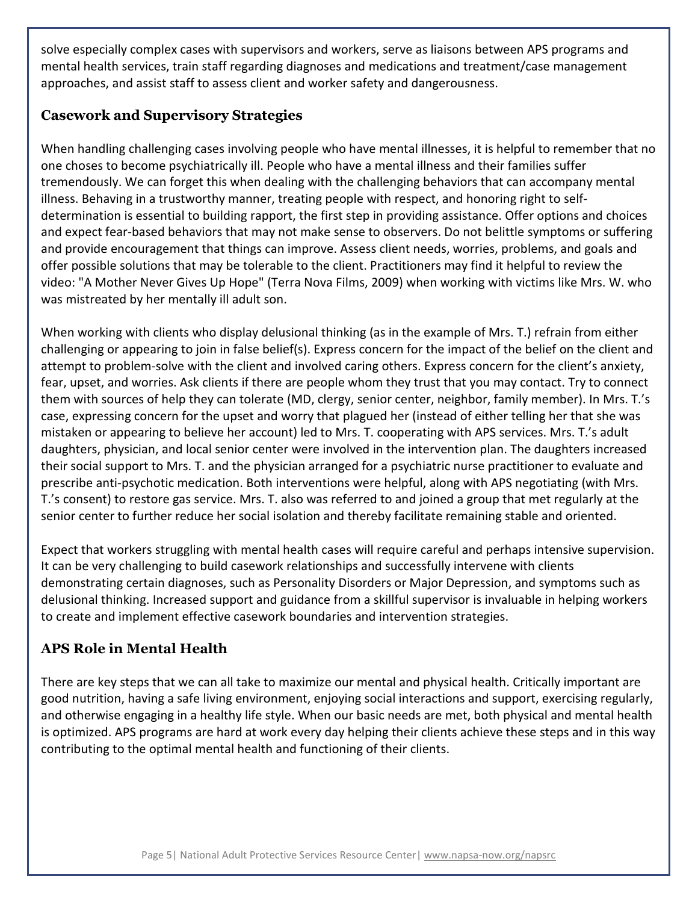solve especially complex cases with supervisors and workers, serve as liaisons between APS programs and mental health services, train staff regarding diagnoses and medications and treatment/case management approaches, and assist staff to assess client and worker safety and dangerousness.

#### **Casework and Supervisory Strategies**

When handling challenging cases involving people who have mental illnesses, it is helpful to remember that no one choses to become psychiatrically ill. People who have a mental illness and their families suffer tremendously. We can forget this when dealing with the challenging behaviors that can accompany mental illness. Behaving in a trustworthy manner, treating people with respect, and honoring right to selfdetermination is essential to building rapport, the first step in providing assistance. Offer options and choices and expect fear-based behaviors that may not make sense to observers. Do not belittle symptoms or suffering and provide encouragement that things can improve. Assess client needs, worries, problems, and goals and offer possible solutions that may be tolerable to the client. Practitioners may find it helpful to review the video: "A Mother Never Gives Up Hope" (Terra Nova Films, 2009) when working with victims like Mrs. W. who was mistreated by her mentally ill adult son.

When working with clients who display delusional thinking (as in the example of Mrs. T.) refrain from either challenging or appearing to join in false belief(s). Express concern for the impact of the belief on the client and attempt to problem-solve with the client and involved caring others. Express concern for the client's anxiety, fear, upset, and worries. Ask clients if there are people whom they trust that you may contact. Try to connect them with sources of help they can tolerate (MD, clergy, senior center, neighbor, family member). In Mrs. T.'s case, expressing concern for the upset and worry that plagued her (instead of either telling her that she was mistaken or appearing to believe her account) led to Mrs. T. cooperating with APS services. Mrs. T.'s adult daughters, physician, and local senior center were involved in the intervention plan. The daughters increased their social support to Mrs. T. and the physician arranged for a psychiatric nurse practitioner to evaluate and prescribe anti-psychotic medication. Both interventions were helpful, along with APS negotiating (with Mrs. T.'s consent) to restore gas service. Mrs. T. also was referred to and joined a group that met regularly at the senior center to further reduce her social isolation and thereby facilitate remaining stable and oriented.

Expect that workers struggling with mental health cases will require careful and perhaps intensive supervision. It can be very challenging to build casework relationships and successfully intervene with clients demonstrating certain diagnoses, such as Personality Disorders or Major Depression, and symptoms such as delusional thinking. Increased support and guidance from a skillful supervisor is invaluable in helping workers to create and implement effective casework boundaries and intervention strategies.

# **APS Role in Mental Health**

There are key steps that we can all take to maximize our mental and physical health. Critically important are good nutrition, having a safe living environment, enjoying social interactions and support, exercising regularly, and otherwise engaging in a healthy life style. When our basic needs are met, both physical and mental health is optimized. APS programs are hard at work every day helping their clients achieve these steps and in this way contributing to the optimal mental health and functioning of their clients.